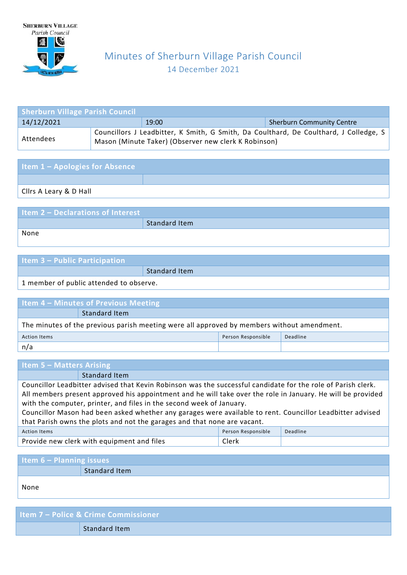

# Minutes of Sherburn Village Parish Council 14 December 2021

| <b>Sherburn Village Parish Council</b>                  |  |                                                      |                                                                                       |  |
|---------------------------------------------------------|--|------------------------------------------------------|---------------------------------------------------------------------------------------|--|
| 14/12/2021<br><b>Sherburn Community Centre</b><br>19:00 |  |                                                      |                                                                                       |  |
| Attendees                                               |  | Mason (Minute Taker) (Observer new clerk K Robinson) | Councillors J Leadbitter, K Smith, G Smith, Da Coulthard, De Coulthard, J Colledge, S |  |

| <b>Item 1 - Apologies for Absence</b> |  |
|---------------------------------------|--|
|                                       |  |
| <b>Clirs A Leary &amp; D Hall</b>     |  |

| <b>Item 2 - Declarations of Interest</b> |               |
|------------------------------------------|---------------|
|                                          | Standard Item |
| None                                     |               |
|                                          |               |

| <b>Item 3 - Public Participation</b> |               |
|--------------------------------------|---------------|
|                                      | Standard Item |
|                                      |               |

1 member of public attended to observe.

| I Item 4 – Minutes of Previous Meeting                                                     |               |  |  |
|--------------------------------------------------------------------------------------------|---------------|--|--|
|                                                                                            | Standard Item |  |  |
| The minutes of the previous parish meeting were all approved by members without amendment. |               |  |  |
| Person Responsible<br>Deadline<br><b>Action Items</b>                                      |               |  |  |
| n/a                                                                                        |               |  |  |

| <b>Item 5 – Matters Arising</b>                                                                              |                                            |                    |          |  |
|--------------------------------------------------------------------------------------------------------------|--------------------------------------------|--------------------|----------|--|
|                                                                                                              | Standard Item                              |                    |          |  |
| Councillor Leadbitter advised that Kevin Robinson was the successful candidate for the role of Parish clerk. |                                            |                    |          |  |
| All members present approved his appointment and he will take over the role in January. He will be provided  |                                            |                    |          |  |
| with the computer, printer, and files in the second week of January.                                         |                                            |                    |          |  |
| Councillor Mason had been asked whether any garages were available to rent. Councillor Leadbitter advised    |                                            |                    |          |  |
| that Parish owns the plots and not the garages and that none are vacant.                                     |                                            |                    |          |  |
| <b>Action Items</b>                                                                                          |                                            | Person Responsible | Deadline |  |
|                                                                                                              | Provide new clerk with equipment and files | Clerk              |          |  |

| <b>Item 6 - Planning issues</b> |               |  |
|---------------------------------|---------------|--|
|                                 | Standard Item |  |
| None                            |               |  |

**Item 7 – Police & Crime Commissioner** Standard Item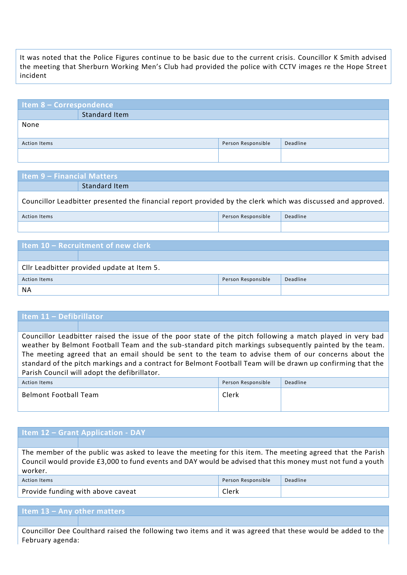It was noted that the Police Figures continue to be basic due to the current crisis. Councillor K Smith advised the meeting that Sherburn Working Men's Club had provided the police with CCTV images re the Hope Street incident

| <b>Item 8 - Correspondence</b> |               |                    |          |  |
|--------------------------------|---------------|--------------------|----------|--|
|                                | Standard Item |                    |          |  |
| None                           |               |                    |          |  |
| <b>Action Items</b>            |               | Person Responsible | Deadline |  |
|                                |               |                    |          |  |

| <b>Item 9 - Financial Matters</b>                                                                            |                                |  |  |  |
|--------------------------------------------------------------------------------------------------------------|--------------------------------|--|--|--|
|                                                                                                              | Standard Item                  |  |  |  |
| Councillor Leadbitter presented the financial report provided by the clerk which was discussed and approved. |                                |  |  |  |
| <b>Action Items</b>                                                                                          | Deadline<br>Person Responsible |  |  |  |
|                                                                                                              |                                |  |  |  |
|                                                                                                              |                                |  |  |  |
| Item 10 - Recruitment of new clerk                                                                           |                                |  |  |  |
|                                                                                                              |                                |  |  |  |
| Cllr Leadhitter provided undate at Item 5                                                                    |                                |  |  |  |

| can consider provided apacte at item 5. |                    |          |  |
|-----------------------------------------|--------------------|----------|--|
| Action Items                            | Person Responsible | Deadline |  |
| NA                                      |                    |          |  |

## **Item 11 – Defibrillator**

Councillor Leadbitter raised the issue of the poor state of the pitch following a match played in very bad weather by Belmont Football Team and the sub-standard pitch markings subsequently painted by the team. The meeting agreed that an email should be sent to the team to advise them of our concerns about the standard of the pitch markings and a contract for Belmont Football Team will be drawn up confirming that the Parish Council will adopt the defibrillator.

| Action Items          | Person Responsible | Deadline |
|-----------------------|--------------------|----------|
| Belmont Football Team | Clerk              |          |

## **Item 12 – Grant Application - DAY**

The member of the public was asked to leave the meeting for this item. The meeting agreed that the Parish Council would provide £3,000 to fund events and DAY would be advised that this money must not fund a youth worker.

| <b>Action Items</b>               | Person Responsible | Deadline |
|-----------------------------------|--------------------|----------|
| Provide funding with above caveat | Clerk              |          |

## **Item 13 – Any other matters**

Councillor Dee Coulthard raised the following two items and it was agreed that these would be added to the February agenda: